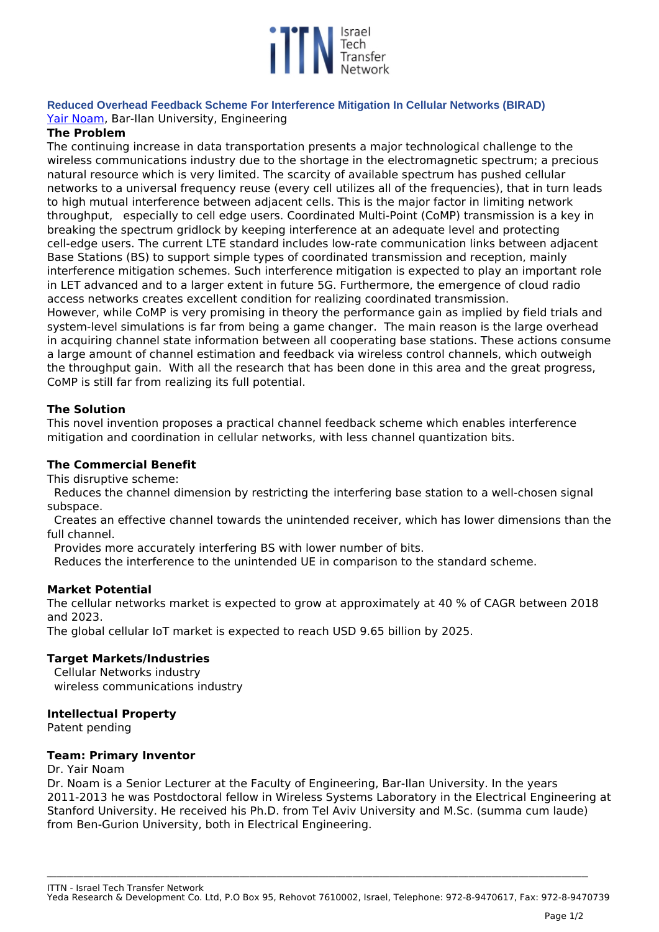

**Reduced Overhead Feedback Scheme For Interference Mitigation In Cellular Networks (BIRAD)**  *[Yair Noam](https://engineering.biu.ac.il/en/node/4889), Bar-Ilan University, Engineering*

## **The Problem**

*The continuing increase in data transportation presents a major technological challenge to the wireless communications industry due to the shortage in the electromagnetic spectrum; a precious natural resource which is very limited. The scarcity of available spectrum has pushed cellular networks to a universal frequency reuse (every cell utilizes all of the frequencies), that in turn leads to high mutual interference between adjacent cells. This is the major factor in limiting network throughput, especially to cell edge users. Coordinated Multi-Point (CoMP) transmission is a key in breaking the spectrum gridlock by keeping interference at an adequate level and protecting cell-edge users. The current LTE standard includes low-rate communication links between adjacent Base Stations (BS) to support simple types of coordinated transmission and reception, mainly interference mitigation schemes. Such interference mitigation is expected to play an important role in LET advanced and to a larger extent in future 5G. Furthermore, the emergence of cloud radio access networks creates excellent condition for realizing coordinated transmission. However, while CoMP is very promising in theory the performance gain as implied by field trials and*

*system-level simulations is far from being a game changer. The main reason is the large overhead in acquiring channel state information between all cooperating base stations. These actions consume a large amount of channel estimation and feedback via wireless control channels, which outweigh the throughput gain. With all the research that has been done in this area and the great progress, CoMP is still far from realizing its full potential.*

# **The Solution**

*This novel invention proposes a practical channel feedback scheme which enables interference mitigation and coordination in cellular networks, with less channel quantization bits.*

## **The Commercial Benefit**

*This disruptive scheme:*

*Reduces the channel dimension by restricting the interfering base station to a well-chosen signal subspace.* 

*Creates an effective channel towards the unintended receiver, which has lower dimensions than the full channel.* 

*Provides more accurately interfering BS with lower number of bits.* 

*Reduces the interference to the unintended UE in comparison to the standard scheme.*

### **Market Potential**

*The cellular networks market is expected to grow at approximately at 40 % of CAGR between 2018 and 2023.*

*The global cellular IoT market is expected to reach USD 9.65 billion by 2025.* 

## **Target Markets/Industries**

*Cellular Networks industry wireless communications industry*

### **Intellectual Property**

*Patent pending*

### **Team: Primary Inventor**

*Dr. Yair Noam*

*Dr. Noam is a Senior Lecturer at the Faculty of Engineering, Bar-Ilan University. In the years 2011-2013 he was Postdoctoral fellow in Wireless Systems Laboratory in the Electrical Engineering at Stanford University. He received his Ph.D. from Tel Aviv University and M.Sc. (summa cum laude) from Ben-Gurion University, both in Electrical Engineering.*

*ITTN - Israel Tech Transfer Network*

*Yeda Research & Development Co. Ltd, P.O Box 95, Rehovot 7610002, Israel, Telephone: 972-8-9470617, Fax: 972-8-9470739*

**\_\_\_\_\_\_\_\_\_\_\_\_\_\_\_\_\_\_\_\_\_\_\_\_\_\_\_\_\_\_\_\_\_\_\_\_\_\_\_\_\_\_\_\_\_\_\_\_\_\_\_\_\_\_\_\_\_\_\_\_\_\_\_\_\_\_\_\_\_\_\_\_\_\_\_\_\_\_\_\_\_\_\_\_\_\_\_\_\_\_\_\_\_\_\_\_\_\_\_\_\_\_\_\_\_\_\_\_\_\_\_\_\_\_\_\_\_\_\_\_\_\_\_\_\_\_\_\_\_\_\_\_\_\_\_\_\_\_\_\_\_\_\_\_\_\_\_\_\_\_\_\_\_\_\_\_\_\_\_\_\_\_\_**